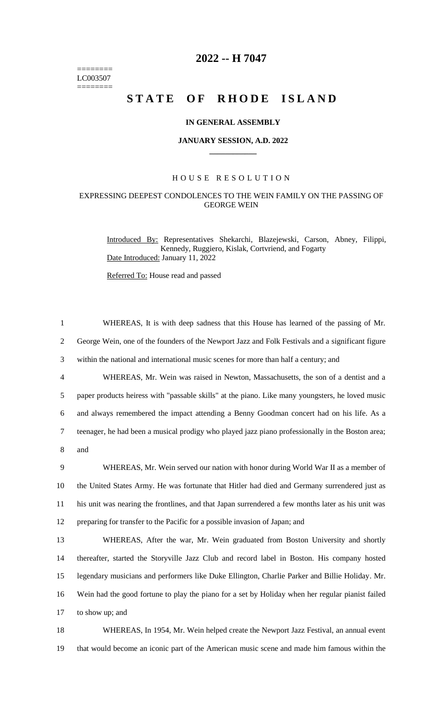======== LC003507 ========

# **2022 -- H 7047**

# **STATE OF RHODE ISLAND**

#### **IN GENERAL ASSEMBLY**

#### **JANUARY SESSION, A.D. 2022 \_\_\_\_\_\_\_\_\_\_\_\_**

## H O U S E R E S O L U T I O N

### EXPRESSING DEEPEST CONDOLENCES TO THE WEIN FAMILY ON THE PASSING OF GEORGE WEIN

Introduced By: Representatives Shekarchi, Blazejewski, Carson, Abney, Filippi, Kennedy, Ruggiero, Kislak, Cortvriend, and Fogarty Date Introduced: January 11, 2022

Referred To: House read and passed

| $\mathbf{1}$   | WHEREAS, It is with deep sadness that this House has learned of the passing of Mr.                 |
|----------------|----------------------------------------------------------------------------------------------------|
| $\overline{2}$ | George Wein, one of the founders of the Newport Jazz and Folk Festivals and a significant figure   |
| 3              | within the national and international music scenes for more than half a century; and               |
| $\overline{4}$ | WHEREAS, Mr. Wein was raised in Newton, Massachusetts, the son of a dentist and a                  |
| 5              | paper products heiress with "passable skills" at the piano. Like many youngsters, he loved music   |
| 6              | and always remembered the impact attending a Benny Goodman concert had on his life. As a           |
| $\tau$         | teenager, he had been a musical prodigy who played jazz piano professionally in the Boston area;   |
| 8              | and                                                                                                |
| 9              | WHEREAS, Mr. Wein served our nation with honor during World War II as a member of                  |
| 10             | the United States Army. He was fortunate that Hitler had died and Germany surrendered just as      |
| 11             | his unit was nearing the frontlines, and that Japan surrendered a few months later as his unit was |
| 12             | preparing for transfer to the Pacific for a possible invasion of Japan; and                        |
| 13             | WHEREAS, After the war, Mr. Wein graduated from Boston University and shortly                      |
| 14             | thereafter, started the Storyville Jazz Club and record label in Boston. His company hosted        |
| 15             | legendary musicians and performers like Duke Ellington, Charlie Parker and Billie Holiday. Mr.     |
| 16             | Wein had the good fortune to play the piano for a set by Holiday when her regular pianist failed   |
| 17             | to show up; and                                                                                    |
| 18             | WHEREAS, In 1954, Mr. Wein helped create the Newport Jazz Festival, an annual event                |

19 that would become an iconic part of the American music scene and made him famous within the